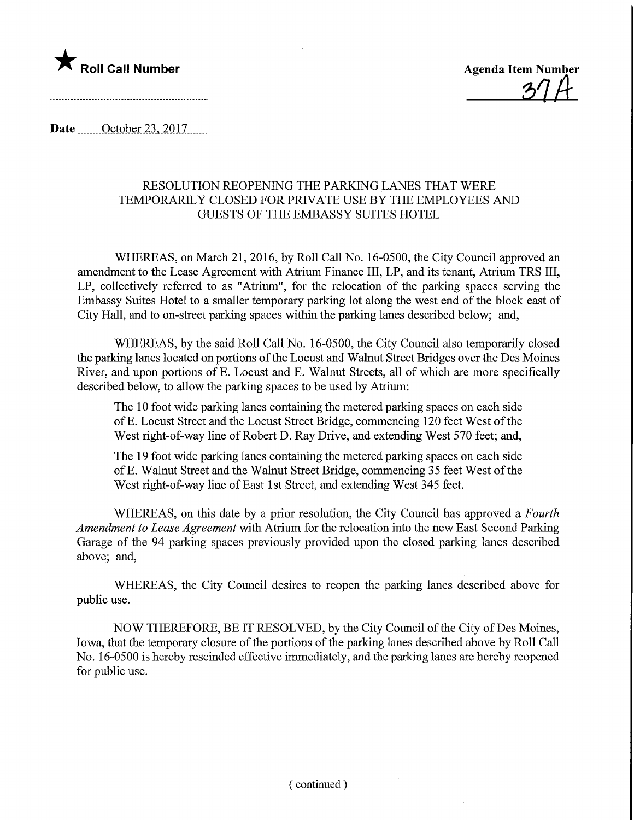

 $-37A$ 

Date ........October 23,2017,

## RESOLUTION REOPENING THE PARKING LANES THAT WERE TEMPORARILY CLOSED FOR PRIVATE USE BY THE EMPLOYEES AND GUESTS OF THE EMBASSY SUITES HOTEL

WHEREAS, on March 21, 2016, by Roll Call No. 16-0500, the City Council approved an amendment to the Lease Agreement with Atrium Finance III, LP, and its tenant, Atrium TRS III, LP, collectively referred to as "Atrium", for the relocation of the parking spaces serving the Embassy Suites Hotel to a smaller temporary parking lot along the west end of the block east of City Hall, and to on-street parking spaces within the parking lanes described below; and,

WHEREAS, by the said Roll Call No. 16-0500, the City Council also temporarily closed the parking lanes located on portions of the Locust and Walnut Street Bridges over the Des Moines River, and upon portions of E. Locust and E. Walnut Streets, all of which are more specifically described below, to allow the parking spaces to be used by Atrium:

The 10 foot wide parking lanes containing the metered parking spaces on each side of E. Locust Street and the Locust Street Bridge, commencing 120 feet West of the West right-of-way line of Robert D. Ray Drive, and extending West 570 feet; and,

The 19 foot wide parking lanes containing the metered parking spaces on each side of E. Walnut Street and the Walnut Street Bridge, commencing 35 feet West of the West right-of-way line of East 1st Street, and extending West 345 feet.

WHEREAS, on this date by a prior resolution, the City Council has approved a Fourth Amendment to Lease Agreement with Atrium for the relocation into the new East Second Parking Garage of the 94 parking spaces previously provided upon the closed parking lanes described above; and,

WHEREAS, the City Council desires to reopen the parking lanes described above for public use.

NOW THEREFORE, BE IT RESOLVED, by the City Council of the City of Des Moines, Iowa, that the temporary closure of the portions of the parking lanes described above by Roll Call No. 16-0500 is hereby rescinded effective immediately, and the parking lanes are hereby reopened for public use.